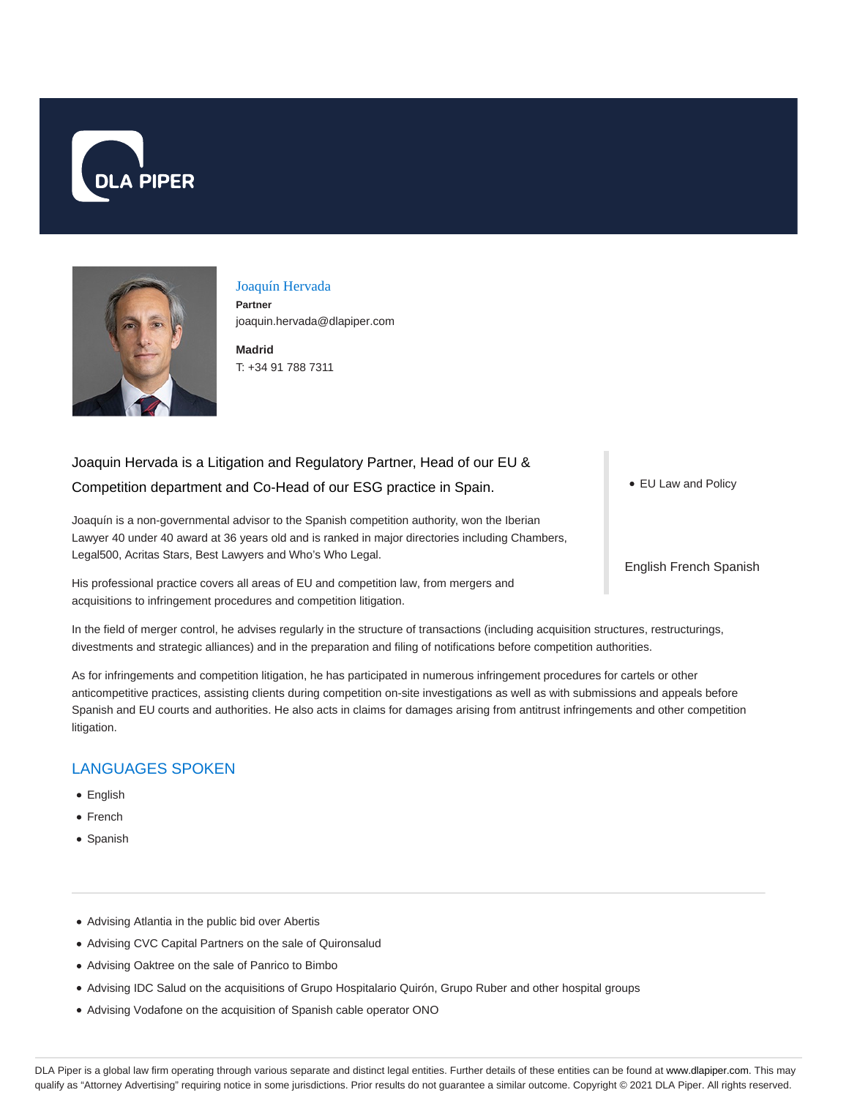



Joaquín Hervada **Partner** joaquin.hervada@dlapiper.com

**Madrid** T: +34 91 788 7311

# Joaquin Hervada is a Litigation and Regulatory Partner, Head of our EU & Competition department and Co-Head of our ESG practice in Spain.

Joaquín is a non-governmental advisor to the Spanish competition authority, won the Iberian Lawyer 40 under 40 award at 36 years old and is ranked in major directories including Chambers, Legal500, Acritas Stars, Best Lawyers and Who's Who Legal.

His professional practice covers all areas of EU and competition law, from mergers and acquisitions to infringement procedures and competition litigation.

In the field of merger control, he advises regularly in the structure of transactions (including acquisition structures, restructurings,

divestments and strategic alliances) and in the preparation and filing of notifications before competition authorities.

As for infringements and competition litigation, he has participated in numerous infringement procedures for cartels or other anticompetitive practices, assisting clients during competition on-site investigations as well as with submissions and appeals before Spanish and EU courts and authorities. He also acts in claims for damages arising from antitrust infringements and other competition litigation.

## LANGUAGES SPOKEN

- English
- French
- Spanish
- Advising Atlantia in the public bid over Abertis
- Advising CVC Capital Partners on the sale of Quironsalud
- Advising Oaktree on the sale of Panrico to Bimbo
- Advising IDC Salud on the acquisitions of Grupo Hospitalario Quirón, Grupo Ruber and other hospital groups
- Advising Vodafone on the acquisition of Spanish cable operator ONO

● EU Law and Policy

English French Spanish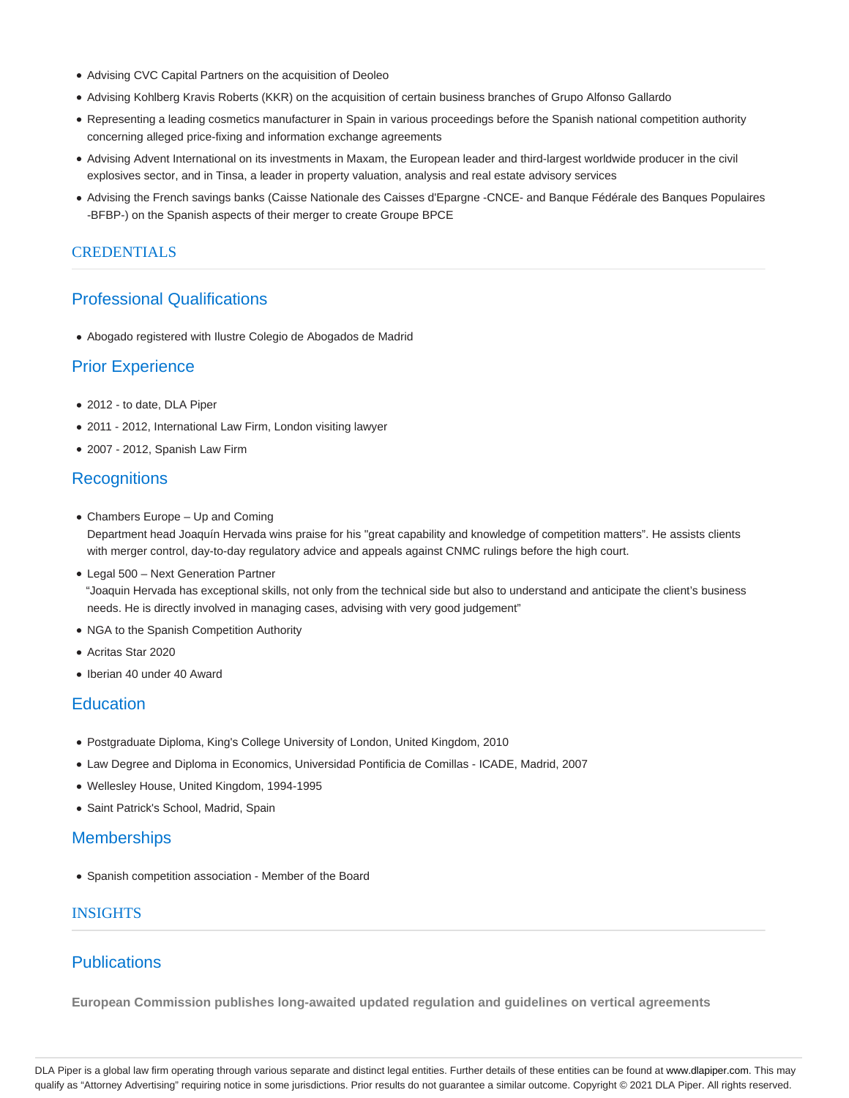- Advising CVC Capital Partners on the acquisition of Deoleo
- Advising Kohlberg Kravis Roberts (KKR) on the acquisition of certain business branches of Grupo Alfonso Gallardo
- Representing a leading cosmetics manufacturer in Spain in various proceedings before the Spanish national competition authority concerning alleged price-fixing and information exchange agreements
- Advising Advent International on its investments in Maxam, the European leader and third-largest worldwide producer in the civil explosives sector, and in Tinsa, a leader in property valuation, analysis and real estate advisory services
- Advising the French savings banks (Caisse Nationale des Caisses d'Epargne -CNCE- and Banque Fédérale des Banques Populaires -BFBP-) on the Spanish aspects of their merger to create Groupe BPCE

### **CREDENTIALS**

## Professional Qualifications

Abogado registered with Ilustre Colegio de Abogados de Madrid

## Prior Experience

- 2012 to date, DLA Piper
- 2011 2012, International Law Firm, London visiting lawyer
- 2007 2012, Spanish Law Firm

## **Recognitions**

Chambers Europe – Up and Coming

Department head Joaquín Hervada wins praise for his "great capability and knowledge of competition matters". He assists clients with merger control, day-to-day regulatory advice and appeals against CNMC rulings before the high court.

- Legal 500 Next Generation Partner "Joaquin Hervada has exceptional skills, not only from the technical side but also to understand and anticipate the client's business needs. He is directly involved in managing cases, advising with very good judgement"
- NGA to the Spanish Competition Authority
- Acritas Star 2020
- Iberian 40 under 40 Award

### **Education**

- Postgraduate Diploma, King's College University of London, United Kingdom, 2010
- Law Degree and Diploma in Economics, Universidad Pontificia de Comillas ICADE, Madrid, 2007
- Wellesley House, United Kingdom, 1994-1995
- Saint Patrick's School, Madrid, Spain

### **Memberships**

Spanish competition association - Member of the Board

#### INSIGHTS

## **Publications**

**European Commission publishes long-awaited updated regulation and guidelines on vertical agreements**

DLA Piper is a global law firm operating through various separate and distinct legal entities. Further details of these entities can be found at www.dlapiper.com. This may qualify as "Attorney Advertising" requiring notice in some jurisdictions. Prior results do not guarantee a similar outcome. Copyright © 2021 DLA Piper. All rights reserved.